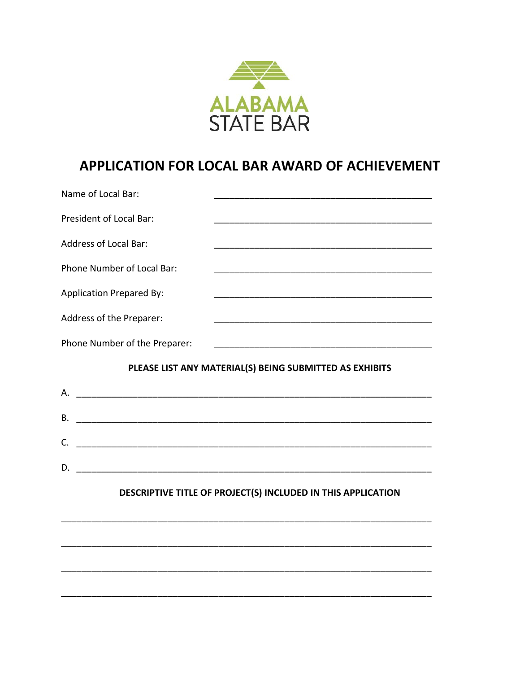

# APPLICATION FOR LOCAL BAR AWARD OF ACHIEVEMENT

| Name of Local Bar:              |                                                                                                                       |
|---------------------------------|-----------------------------------------------------------------------------------------------------------------------|
| President of Local Bar:         |                                                                                                                       |
| <b>Address of Local Bar:</b>    | <u> 1980 - Jan James James, martin amerikan basar dan bagi dan bagi dan bagi dan bagi dan bagi dan bagi dan bagi </u> |
| Phone Number of Local Bar:      |                                                                                                                       |
| <b>Application Prepared By:</b> |                                                                                                                       |
| Address of the Preparer:        | <u> 1980 - Johann Barn, mars an t-Amerikaansk politiker (* 1918)</u>                                                  |
| Phone Number of the Preparer:   |                                                                                                                       |
|                                 |                                                                                                                       |
|                                 | PLEASE LIST ANY MATERIAL(S) BEING SUBMITTED AS EXHIBITS                                                               |
|                                 |                                                                                                                       |
| В.                              |                                                                                                                       |
| $C_{\cdot}$                     |                                                                                                                       |
| D.                              |                                                                                                                       |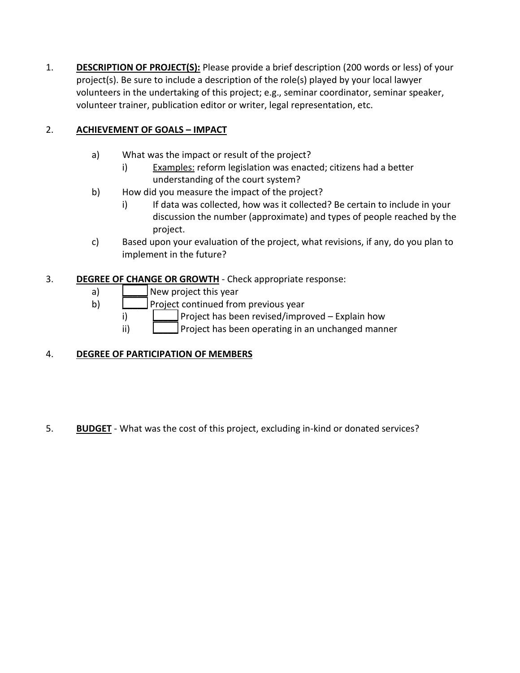1. **DESCRIPTION OF PROJECT(S):** Please provide a brief description (200 words or less) of your project(s). Be sure to include a description of the role(s) played by your local lawyer volunteers in the undertaking of this project; e.g., seminar coordinator, seminar speaker, volunteer trainer, publication editor or writer, legal representation, etc.

## 2. **ACHIEVEMENT OF GOALS – IMPACT**

- a) What was the impact or result of the project?
	- i) Examples: reform legislation was enacted; citizens had a better understanding of the court system?
- b) How did you measure the impact of the project?
	- i) If data was collected, how was it collected? Be certain to include in your discussion the number (approximate) and types of people reached by the project.
- c) Based upon your evaluation of the project, what revisions, if any, do you plan to implement in the future?

### 3. **DEGREE OF CHANGE OR GROWTH** - Check appropriate response:

- a) **Dew** project this year
- b)  $\Box$  Project continued from previous year
	- i)  $\Box$  Project has been revised/improved Explain how
	- ii)  $\Box$  Project has been operating in an unchanged manner

### 4. **DEGREE OF PARTICIPATION OF MEMBERS**

5. **BUDGET** - What was the cost of this project, excluding in-kind or donated services?